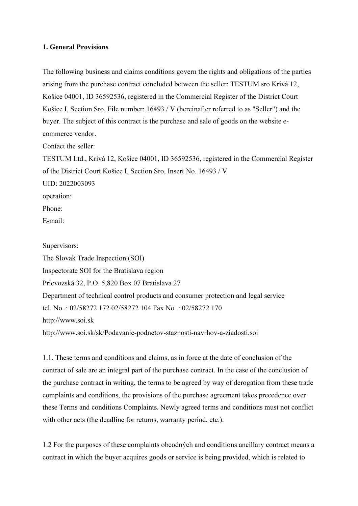### 1. General Provisions

The following business and claims conditions govern the rights and obligations of the parties arising from the purchase contract concluded between the seller: TESTUM sro Krivá 12, Košice 04001, ID 36592536, registered in the Commercial Register of the District Court Košice I, Section Sro, File number: 16493 / V (hereinafter referred to as "Seller") and the buyer. The subject of this contract is the purchase and sale of goods on the website ecommerce vendor.

Contact the seller:

TESTUM Ltd., Krivá 12, Košice 04001, ID 36592536, registered in the Commercial Register of the District Court Košice I, Section Sro, Insert No. 16493 / V UID: 2022003093 operation: Phone: E-mail:

Supervisors: The Slovak Trade Inspection (SOI) Inspectorate SOI for the Bratislava region Prievozská 32, P.O. 5,820 Box 07 Bratislava 27 Department of technical control products and consumer protection and legal service tel. No .: 02/58272 172 02/58272 104 Fax No .: 02/58272 170 http://www.soi.sk http://www.soi.sk/sk/Podavanie-podnetov-staznosti-navrhov-a-ziadosti.soi

1.1. These terms and conditions and claims, as in force at the date of conclusion of the contract of sale are an integral part of the purchase contract. In the case of the conclusion of the purchase contract in writing, the terms to be agreed by way of derogation from these trade complaints and conditions, the provisions of the purchase agreement takes precedence over these Terms and conditions Complaints. Newly agreed terms and conditions must not conflict with other acts (the deadline for returns, warranty period, etc.).

1.2 For the purposes of these complaints obcodných and conditions ancillary contract means a contract in which the buyer acquires goods or service is being provided, which is related to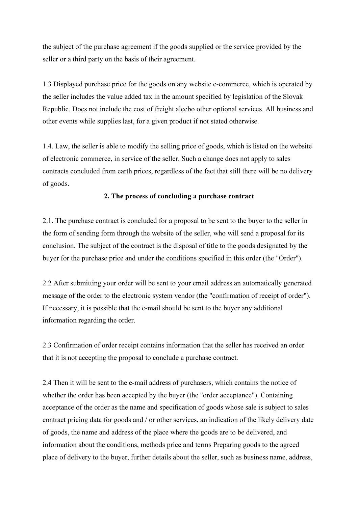the subject of the purchase agreement if the goods supplied or the service provided by the seller or a third party on the basis of their agreement.

1.3 Displayed purchase price for the goods on any website e-commerce, which is operated by the seller includes the value added tax in the amount specified by legislation of the Slovak Republic. Does not include the cost of freight aleebo other optional services. All business and other events while supplies last, for a given product if not stated otherwise.

1.4. Law, the seller is able to modify the selling price of goods, which is listed on the website of electronic commerce, in service of the seller. Such a change does not apply to sales contracts concluded from earth prices, regardless of the fact that still there will be no delivery of goods.

## 2. The process of concluding a purchase contract

2.1. The purchase contract is concluded for a proposal to be sent to the buyer to the seller in the form of sending form through the website of the seller, who will send a proposal for its conclusion. The subject of the contract is the disposal of title to the goods designated by the buyer for the purchase price and under the conditions specified in this order (the "Order").

2.2 After submitting your order will be sent to your email address an automatically generated message of the order to the electronic system vendor (the "confirmation of receipt of order"). If necessary, it is possible that the e-mail should be sent to the buyer any additional information regarding the order.

2.3 Confirmation of order receipt contains information that the seller has received an order that it is not accepting the proposal to conclude a purchase contract.

2.4 Then it will be sent to the e-mail address of purchasers, which contains the notice of whether the order has been accepted by the buyer (the "order acceptance"). Containing acceptance of the order as the name and specification of goods whose sale is subject to sales contract pricing data for goods and / or other services, an indication of the likely delivery date of goods, the name and address of the place where the goods are to be delivered, and information about the conditions, methods price and terms Preparing goods to the agreed place of delivery to the buyer, further details about the seller, such as business name, address,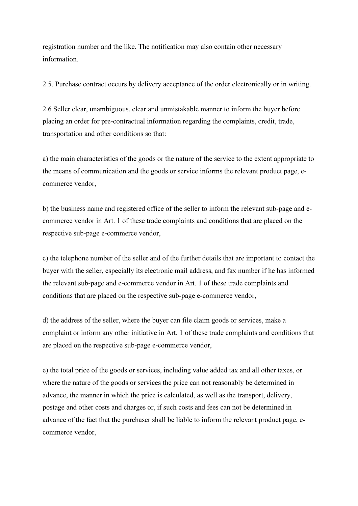registration number and the like. The notification may also contain other necessary information.

2.5. Purchase contract occurs by delivery acceptance of the order electronically or in writing.

2.6 Seller clear, unambiguous, clear and unmistakable manner to inform the buyer before placing an order for pre-contractual information regarding the complaints, credit, trade, transportation and other conditions so that:

a) the main characteristics of the goods or the nature of the service to the extent appropriate to the means of communication and the goods or service informs the relevant product page, ecommerce vendor,

b) the business name and registered office of the seller to inform the relevant sub-page and ecommerce vendor in Art. 1 of these trade complaints and conditions that are placed on the respective sub-page e-commerce vendor,

c) the telephone number of the seller and of the further details that are important to contact the buyer with the seller, especially its electronic mail address, and fax number if he has informed the relevant sub-page and e-commerce vendor in Art. 1 of these trade complaints and conditions that are placed on the respective sub-page e-commerce vendor,

d) the address of the seller, where the buyer can file claim goods or services, make a complaint or inform any other initiative in Art. 1 of these trade complaints and conditions that are placed on the respective sub-page e-commerce vendor,

e) the total price of the goods or services, including value added tax and all other taxes, or where the nature of the goods or services the price can not reasonably be determined in advance, the manner in which the price is calculated, as well as the transport, delivery, postage and other costs and charges or, if such costs and fees can not be determined in advance of the fact that the purchaser shall be liable to inform the relevant product page, ecommerce vendor,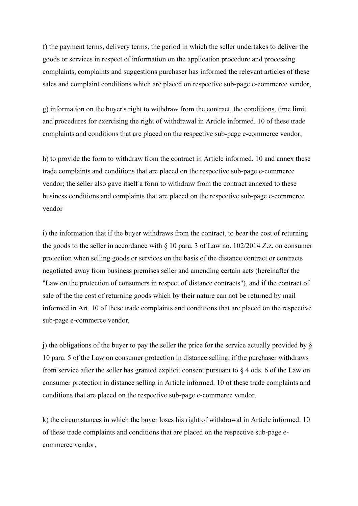f) the payment terms, delivery terms, the period in which the seller undertakes to deliver the goods or services in respect of information on the application procedure and processing complaints, complaints and suggestions purchaser has informed the relevant articles of these sales and complaint conditions which are placed on respective sub-page e-commerce vendor,

g) information on the buyer's right to withdraw from the contract, the conditions, time limit and procedures for exercising the right of withdrawal in Article informed. 10 of these trade complaints and conditions that are placed on the respective sub-page e-commerce vendor,

h) to provide the form to withdraw from the contract in Article informed. 10 and annex these trade complaints and conditions that are placed on the respective sub-page e-commerce vendor; the seller also gave itself a form to withdraw from the contract annexed to these business conditions and complaints that are placed on the respective sub-page e-commerce vendor

i) the information that if the buyer withdraws from the contract, to bear the cost of returning the goods to the seller in accordance with  $\S$  10 para. 3 of Law no. 102/2014 Z.z. on consumer protection when selling goods or services on the basis of the distance contract or contracts negotiated away from business premises seller and amending certain acts (hereinafter the "Law on the protection of consumers in respect of distance contracts"), and if the contract of sale of the the cost of returning goods which by their nature can not be returned by mail informed in Art. 10 of these trade complaints and conditions that are placed on the respective sub-page e-commerce vendor,

j) the obligations of the buyer to pay the seller the price for the service actually provided by  $\S$ 10 para. 5 of the Law on consumer protection in distance selling, if the purchaser withdraws from service after the seller has granted explicit consent pursuant to § 4 ods. 6 of the Law on consumer protection in distance selling in Article informed. 10 of these trade complaints and conditions that are placed on the respective sub-page e-commerce vendor,

k) the circumstances in which the buyer loses his right of withdrawal in Article informed. 10 of these trade complaints and conditions that are placed on the respective sub-page ecommerce vendor,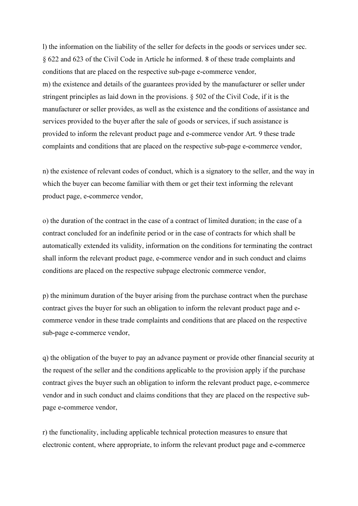l) the information on the liability of the seller for defects in the goods or services under sec. § 622 and 623 of the Civil Code in Article he informed. 8 of these trade complaints and conditions that are placed on the respective sub-page e-commerce vendor, m) the existence and details of the guarantees provided by the manufacturer or seller under stringent principles as laid down in the provisions. § 502 of the Civil Code, if it is the manufacturer or seller provides, as well as the existence and the conditions of assistance and services provided to the buyer after the sale of goods or services, if such assistance is provided to inform the relevant product page and e-commerce vendor Art. 9 these trade complaints and conditions that are placed on the respective sub-page e-commerce vendor,

n) the existence of relevant codes of conduct, which is a signatory to the seller, and the way in which the buyer can become familiar with them or get their text informing the relevant product page, e-commerce vendor,

o) the duration of the contract in the case of a contract of limited duration; in the case of a contract concluded for an indefinite period or in the case of contracts for which shall be automatically extended its validity, information on the conditions for terminating the contract shall inform the relevant product page, e-commerce vendor and in such conduct and claims conditions are placed on the respective subpage electronic commerce vendor,

p) the minimum duration of the buyer arising from the purchase contract when the purchase contract gives the buyer for such an obligation to inform the relevant product page and ecommerce vendor in these trade complaints and conditions that are placed on the respective sub-page e-commerce vendor,

q) the obligation of the buyer to pay an advance payment or provide other financial security at the request of the seller and the conditions applicable to the provision apply if the purchase contract gives the buyer such an obligation to inform the relevant product page, e-commerce vendor and in such conduct and claims conditions that they are placed on the respective subpage e-commerce vendor,

r) the functionality, including applicable technical protection measures to ensure that electronic content, where appropriate, to inform the relevant product page and e-commerce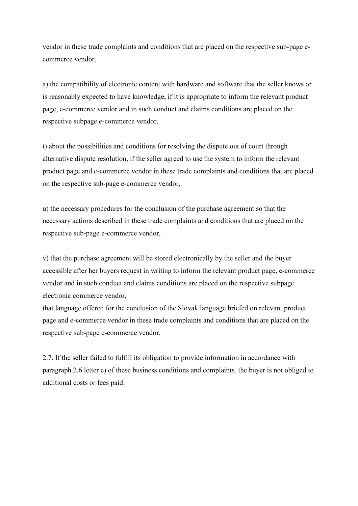vendor in these trade complaints and conditions that are placed on the respective sub-page ecommerce vendor,

a) the compatibility of electronic content with hardware and software that the seller knows or is reasonably expected to have knowledge, if it is appropriate to inform the relevant product page, e-commerce vendor and in such conduct and claims conditions are placed on the respective subpage e-commerce vendor,

t) about the possibilities and conditions for resolving the dispute out of court through alternative dispute resolution, if the seller agreed to use the system to inform the relevant product page and e-commerce vendor in these trade complaints and conditions that are placed on the respective sub-page e-commerce vendor,

u) the necessary procedures for the conclusion of the purchase agreement so that the necessary actions described in these trade complaints and conditions that are placed on the respective sub-page e-commerce vendor,

v) that the purchase agreement will be stored electronically by the seller and the buyer accessible after her buyers request in writing to inform the relevant product page, e-commerce vendor and in such conduct and claims conditions are placed on the respective subpage electronic commerce vendor,

that language offered for the conclusion of the Slovak language briefed on relevant product page and e-commerce vendor in these trade complaints and conditions that are placed on the respective sub-page e-commerce vendor.

2.7. If the seller failed to fulfill its obligation to provide information in accordance with paragraph 2.6 letter e) of these business conditions and complaints, the buyer is not obliged to additional costs or fees paid.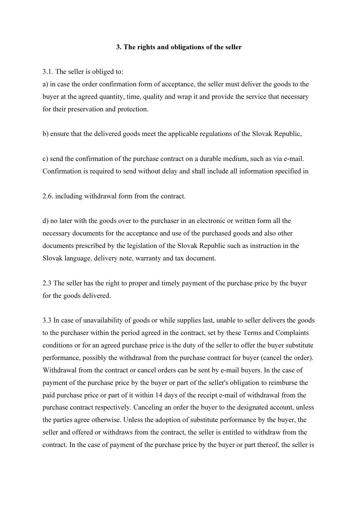#### 3. The rights and obligations of the seller

3.1. The seller is obliged to:

a) in case the order confirmation form of acceptance, the seller must deliver the goods to the buyer at the agreed quantity, time, quality and wrap it and provide the service that necessary for their preservation and protection.

b) ensure that the delivered goods meet the applicable regulations of the Slovak Republic,

c) send the confirmation of the purchase contract on a durable medium, such as via e-mail. Confirmation is required to send without delay and shall include all information specified in

2.6. including withdrawal form from the contract.

d) no later with the goods over to the purchaser in an electronic or written form all the necessary documents for the acceptance and use of the purchased goods and also other documents prescribed by the legislation of the Slovak Republic such as instruction in the Slovak language, delivery note, warranty and tax document.

2.3 The seller has the right to proper and timely payment of the purchase price by the buyer for the goods delivered.

3.3 In case of unavailability of goods or while supplies last, unable to seller delivers the goods to the purchaser within the period agreed in the contract, set by these Terms and Complaints conditions or for an agreed purchase price is the duty of the seller to offer the buyer substitute performance, possibly the withdrawal from the purchase contract for buyer (cancel the order). Withdrawal from the contract or cancel orders can be sent by e-mail buyers. In the case of payment of the purchase price by the buyer or part of the seller's obligation to reimburse the paid purchase price or part of it within 14 days of the receipt e-mail of withdrawal from the purchase contract respectively. Canceling an order the buyer to the designated account, unless the parties agree otherwise. Unless the adoption of substitute performance by the buyer, the seller and offered or withdraws from the contract, the seller is entitled to withdraw from the contract. In the case of payment of the purchase price by the buyer or part thereof, the seller is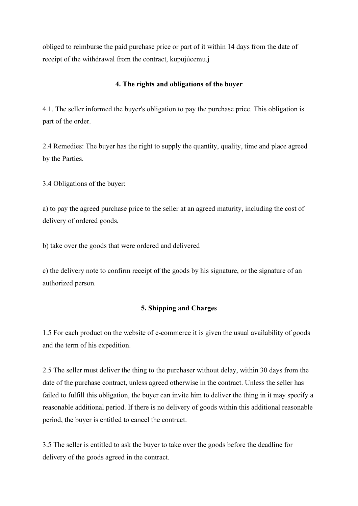obliged to reimburse the paid purchase price or part of it within 14 days from the date of receipt of the withdrawal from the contract, kupujúcemu.j

## 4. The rights and obligations of the buyer

4.1. The seller informed the buyer's obligation to pay the purchase price. This obligation is part of the order.

2.4 Remedies: The buyer has the right to supply the quantity, quality, time and place agreed by the Parties.

3.4 Obligations of the buyer:

a) to pay the agreed purchase price to the seller at an agreed maturity, including the cost of delivery of ordered goods,

b) take over the goods that were ordered and delivered

c) the delivery note to confirm receipt of the goods by his signature, or the signature of an authorized person.

#### 5. Shipping and Charges

1.5 For each product on the website of e-commerce it is given the usual availability of goods and the term of his expedition.

2.5 The seller must deliver the thing to the purchaser without delay, within 30 days from the date of the purchase contract, unless agreed otherwise in the contract. Unless the seller has failed to fulfill this obligation, the buyer can invite him to deliver the thing in it may specify a reasonable additional period. If there is no delivery of goods within this additional reasonable period, the buyer is entitled to cancel the contract.

3.5 The seller is entitled to ask the buyer to take over the goods before the deadline for delivery of the goods agreed in the contract.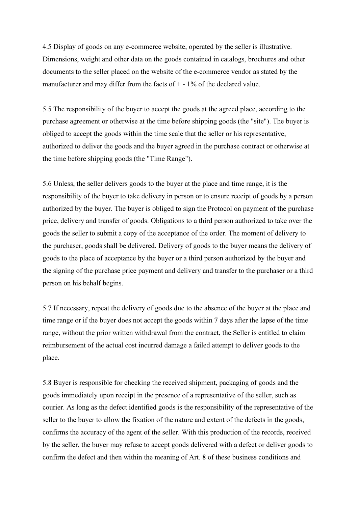4.5 Display of goods on any e-commerce website, operated by the seller is illustrative. Dimensions, weight and other data on the goods contained in catalogs, brochures and other documents to the seller placed on the website of the e-commerce vendor as stated by the manufacturer and may differ from the facts of  $+$  - 1% of the declared value.

5.5 The responsibility of the buyer to accept the goods at the agreed place, according to the purchase agreement or otherwise at the time before shipping goods (the "site"). The buyer is obliged to accept the goods within the time scale that the seller or his representative, authorized to deliver the goods and the buyer agreed in the purchase contract or otherwise at the time before shipping goods (the "Time Range").

5.6 Unless, the seller delivers goods to the buyer at the place and time range, it is the responsibility of the buyer to take delivery in person or to ensure receipt of goods by a person authorized by the buyer. The buyer is obliged to sign the Protocol on payment of the purchase price, delivery and transfer of goods. Obligations to a third person authorized to take over the goods the seller to submit a copy of the acceptance of the order. The moment of delivery to the purchaser, goods shall be delivered. Delivery of goods to the buyer means the delivery of goods to the place of acceptance by the buyer or a third person authorized by the buyer and the signing of the purchase price payment and delivery and transfer to the purchaser or a third person on his behalf begins.

5.7 If necessary, repeat the delivery of goods due to the absence of the buyer at the place and time range or if the buyer does not accept the goods within 7 days after the lapse of the time range, without the prior written withdrawal from the contract, the Seller is entitled to claim reimbursement of the actual cost incurred damage a failed attempt to deliver goods to the place.

5.8 Buyer is responsible for checking the received shipment, packaging of goods and the goods immediately upon receipt in the presence of a representative of the seller, such as courier. As long as the defect identified goods is the responsibility of the representative of the seller to the buyer to allow the fixation of the nature and extent of the defects in the goods, confirms the accuracy of the agent of the seller. With this production of the records, received by the seller, the buyer may refuse to accept goods delivered with a defect or deliver goods to confirm the defect and then within the meaning of Art. 8 of these business conditions and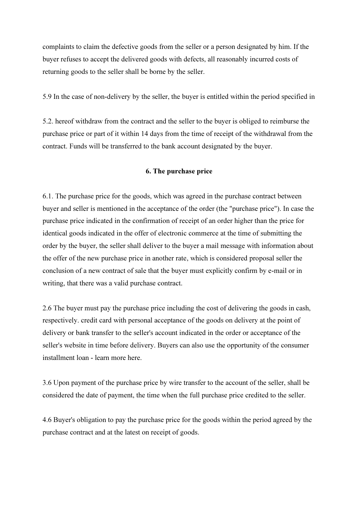complaints to claim the defective goods from the seller or a person designated by him. If the buyer refuses to accept the delivered goods with defects, all reasonably incurred costs of returning goods to the seller shall be borne by the seller.

5.9 In the case of non-delivery by the seller, the buyer is entitled within the period specified in

5.2. hereof withdraw from the contract and the seller to the buyer is obliged to reimburse the purchase price or part of it within 14 days from the time of receipt of the withdrawal from the contract. Funds will be transferred to the bank account designated by the buyer.

#### 6. The purchase price

6.1. The purchase price for the goods, which was agreed in the purchase contract between buyer and seller is mentioned in the acceptance of the order (the "purchase price"). In case the purchase price indicated in the confirmation of receipt of an order higher than the price for identical goods indicated in the offer of electronic commerce at the time of submitting the order by the buyer, the seller shall deliver to the buyer a mail message with information about the offer of the new purchase price in another rate, which is considered proposal seller the conclusion of a new contract of sale that the buyer must explicitly confirm by e-mail or in writing, that there was a valid purchase contract.

2.6 The buyer must pay the purchase price including the cost of delivering the goods in cash, respectively. credit card with personal acceptance of the goods on delivery at the point of delivery or bank transfer to the seller's account indicated in the order or acceptance of the seller's website in time before delivery. Buyers can also use the opportunity of the consumer installment loan - learn more here.

3.6 Upon payment of the purchase price by wire transfer to the account of the seller, shall be considered the date of payment, the time when the full purchase price credited to the seller.

4.6 Buyer's obligation to pay the purchase price for the goods within the period agreed by the purchase contract and at the latest on receipt of goods.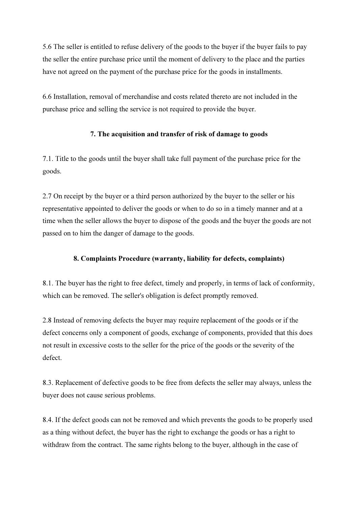5.6 The seller is entitled to refuse delivery of the goods to the buyer if the buyer fails to pay the seller the entire purchase price until the moment of delivery to the place and the parties have not agreed on the payment of the purchase price for the goods in installments.

6.6 Installation, removal of merchandise and costs related thereto are not included in the purchase price and selling the service is not required to provide the buyer.

## 7. The acquisition and transfer of risk of damage to goods

7.1. Title to the goods until the buyer shall take full payment of the purchase price for the goods.

2.7 On receipt by the buyer or a third person authorized by the buyer to the seller or his representative appointed to deliver the goods or when to do so in a timely manner and at a time when the seller allows the buyer to dispose of the goods and the buyer the goods are not passed on to him the danger of damage to the goods.

## 8. Complaints Procedure (warranty, liability for defects, complaints)

8.1. The buyer has the right to free defect, timely and properly, in terms of lack of conformity, which can be removed. The seller's obligation is defect promptly removed.

2.8 Instead of removing defects the buyer may require replacement of the goods or if the defect concerns only a component of goods, exchange of components, provided that this does not result in excessive costs to the seller for the price of the goods or the severity of the defect.

8.3. Replacement of defective goods to be free from defects the seller may always, unless the buyer does not cause serious problems.

8.4. If the defect goods can not be removed and which prevents the goods to be properly used as a thing without defect, the buyer has the right to exchange the goods or has a right to withdraw from the contract. The same rights belong to the buyer, although in the case of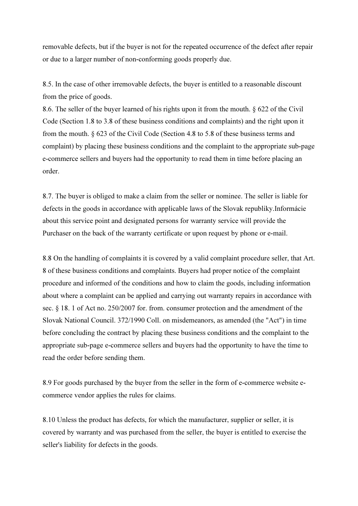removable defects, but if the buyer is not for the repeated occurrence of the defect after repair or due to a larger number of non-conforming goods properly due.

8.5. In the case of other irremovable defects, the buyer is entitled to a reasonable discount from the price of goods.

8.6. The seller of the buyer learned of his rights upon it from the mouth. § 622 of the Civil Code (Section 1.8 to 3.8 of these business conditions and complaints) and the right upon it from the mouth. § 623 of the Civil Code (Section 4.8 to 5.8 of these business terms and complaint) by placing these business conditions and the complaint to the appropriate sub-page e-commerce sellers and buyers had the opportunity to read them in time before placing an order.

8.7. The buyer is obliged to make a claim from the seller or nominee. The seller is liable for defects in the goods in accordance with applicable laws of the Slovak republiky.Informácie about this service point and designated persons for warranty service will provide the Purchaser on the back of the warranty certificate or upon request by phone or e-mail.

8.8 On the handling of complaints it is covered by a valid complaint procedure seller, that Art. 8 of these business conditions and complaints. Buyers had proper notice of the complaint procedure and informed of the conditions and how to claim the goods, including information about where a complaint can be applied and carrying out warranty repairs in accordance with sec. § 18. 1 of Act no. 250/2007 for. from. consumer protection and the amendment of the Slovak National Council. 372/1990 Coll. on misdemeanors, as amended (the "Act") in time before concluding the contract by placing these business conditions and the complaint to the appropriate sub-page e-commerce sellers and buyers had the opportunity to have the time to read the order before sending them.

8.9 For goods purchased by the buyer from the seller in the form of e-commerce website ecommerce vendor applies the rules for claims.

8.10 Unless the product has defects, for which the manufacturer, supplier or seller, it is covered by warranty and was purchased from the seller, the buyer is entitled to exercise the seller's liability for defects in the goods.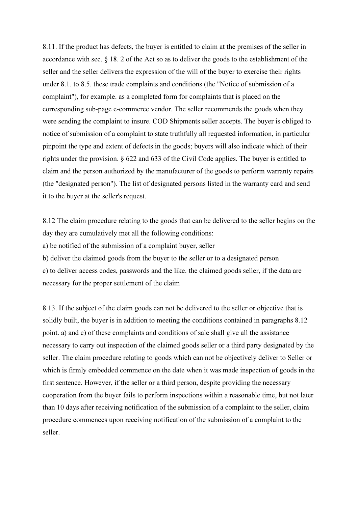8.11. If the product has defects, the buyer is entitled to claim at the premises of the seller in accordance with sec.  $\S$  18. 2 of the Act so as to deliver the goods to the establishment of the seller and the seller delivers the expression of the will of the buyer to exercise their rights under 8.1. to 8.5. these trade complaints and conditions (the "Notice of submission of a complaint"), for example. as a completed form for complaints that is placed on the corresponding sub-page e-commerce vendor. The seller recommends the goods when they were sending the complaint to insure. COD Shipments seller accepts. The buyer is obliged to notice of submission of a complaint to state truthfully all requested information, in particular pinpoint the type and extent of defects in the goods; buyers will also indicate which of their rights under the provision. § 622 and 633 of the Civil Code applies. The buyer is entitled to claim and the person authorized by the manufacturer of the goods to perform warranty repairs (the "designated person"). The list of designated persons listed in the warranty card and send it to the buyer at the seller's request.

8.12 The claim procedure relating to the goods that can be delivered to the seller begins on the day they are cumulatively met all the following conditions: a) be notified of the submission of a complaint buyer, seller b) deliver the claimed goods from the buyer to the seller or to a designated person c) to deliver access codes, passwords and the like. the claimed goods seller, if the data are necessary for the proper settlement of the claim

8.13. If the subject of the claim goods can not be delivered to the seller or objective that is solidly built, the buyer is in addition to meeting the conditions contained in paragraphs 8.12 point. a) and c) of these complaints and conditions of sale shall give all the assistance necessary to carry out inspection of the claimed goods seller or a third party designated by the seller. The claim procedure relating to goods which can not be objectively deliver to Seller or which is firmly embedded commence on the date when it was made inspection of goods in the first sentence. However, if the seller or a third person, despite providing the necessary cooperation from the buyer fails to perform inspections within a reasonable time, but not later than 10 days after receiving notification of the submission of a complaint to the seller, claim procedure commences upon receiving notification of the submission of a complaint to the seller.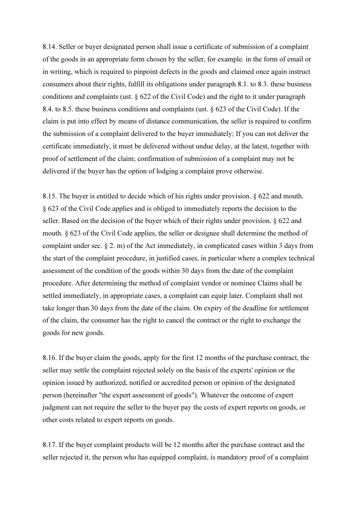8.14. Seller or buyer designated person shall issue a certificate of submission of a complaint of the goods in an appropriate form chosen by the seller, for example. in the form of email or in writing, which is required to pinpoint defects in the goods and claimed once again instruct consumers about their rights, fulfill its obligations under paragraph 8.1. to 8.3. these business conditions and complaints (ust. § 622 of the Civil Code) and the right to it under paragraph 8.4. to 8.5. these business conditions and complaints (ust. § 623 of the Civil Code). If the claim is put into effect by means of distance communication, the seller is required to confirm the submission of a complaint delivered to the buyer immediately; If you can not deliver the certificate immediately, it must be delivered without undue delay, at the latest, together with proof of settlement of the claim; confirmation of submission of a complaint may not be delivered if the buyer has the option of lodging a complaint prove otherwise.

8.15. The buyer is entitled to decide which of his rights under provision. § 622 and mouth. § 623 of the Civil Code applies and is obliged to immediately reports the decision to the seller. Based on the decision of the buyer which of their rights under provision. § 622 and mouth. § 623 of the Civil Code applies, the seller or designee shall determine the method of complaint under sec. § 2. m) of the Act immediately, in complicated cases within 3 days from the start of the complaint procedure, in justified cases, in particular where a complex technical assessment of the condition of the goods within 30 days from the date of the complaint procedure. After determining the method of complaint vendor or nominee Claims shall be settled immediately, in appropriate cases, a complaint can equip later. Complaint shall not take longer than 30 days from the date of the claim. On expiry of the deadline for settlement of the claim, the consumer has the right to cancel the contract or the right to exchange the goods for new goods.

8.16. If the buyer claim the goods, apply for the first 12 months of the purchase contract, the seller may settle the complaint rejected solely on the basis of the experts' opinion or the opinion issued by authorized, notified or accredited person or opinion of the designated person (hereinafter "the expert assessment of goods"). Whatever the outcome of expert judgment can not require the seller to the buyer pay the costs of expert reports on goods, or other costs related to expert reports on goods.

8.17. If the buyer complaint products will be 12 months after the purchase contract and the seller rejected it, the person who has equipped complaint, is mandatory proof of a complaint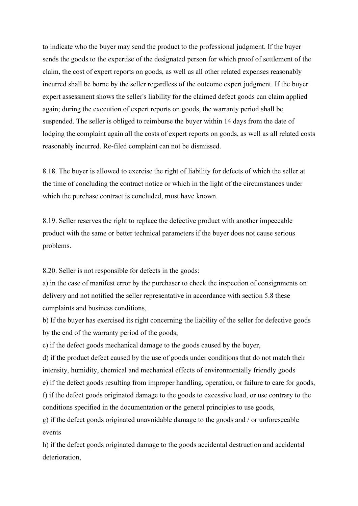to indicate who the buyer may send the product to the professional judgment. If the buyer sends the goods to the expertise of the designated person for which proof of settlement of the claim, the cost of expert reports on goods, as well as all other related expenses reasonably incurred shall be borne by the seller regardless of the outcome expert judgment. If the buyer expert assessment shows the seller's liability for the claimed defect goods can claim applied again; during the execution of expert reports on goods, the warranty period shall be suspended. The seller is obliged to reimburse the buyer within 14 days from the date of lodging the complaint again all the costs of expert reports on goods, as well as all related costs reasonably incurred. Re-filed complaint can not be dismissed.

8.18. The buyer is allowed to exercise the right of liability for defects of which the seller at the time of concluding the contract notice or which in the light of the circumstances under which the purchase contract is concluded, must have known.

8.19. Seller reserves the right to replace the defective product with another impeccable product with the same or better technical parameters if the buyer does not cause serious problems.

8.20. Seller is not responsible for defects in the goods:

a) in the case of manifest error by the purchaser to check the inspection of consignments on delivery and not notified the seller representative in accordance with section 5.8 these complaints and business conditions,

b) If the buyer has exercised its right concerning the liability of the seller for defective goods by the end of the warranty period of the goods,

c) if the defect goods mechanical damage to the goods caused by the buyer,

d) if the product defect caused by the use of goods under conditions that do not match their intensity, humidity, chemical and mechanical effects of environmentally friendly goods e) if the defect goods resulting from improper handling, operation, or failure to care for goods, f) if the defect goods originated damage to the goods to excessive load, or use contrary to the conditions specified in the documentation or the general principles to use goods, g) if the defect goods originated unavoidable damage to the goods and / or unforeseeable

events

h) if the defect goods originated damage to the goods accidental destruction and accidental deterioration,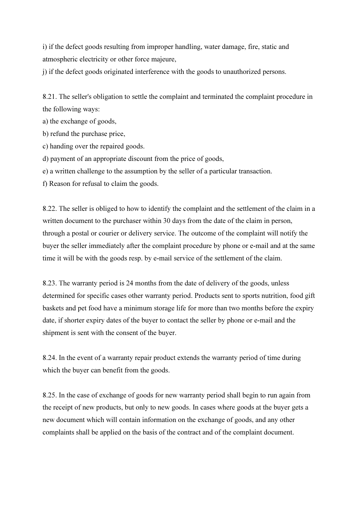i) if the defect goods resulting from improper handling, water damage, fire, static and atmospheric electricity or other force majeure,

j) if the defect goods originated interference with the goods to unauthorized persons.

8.21. The seller's obligation to settle the complaint and terminated the complaint procedure in the following ways:

a) the exchange of goods,

b) refund the purchase price,

c) handing over the repaired goods.

d) payment of an appropriate discount from the price of goods,

e) a written challenge to the assumption by the seller of a particular transaction.

f) Reason for refusal to claim the goods.

8.22. The seller is obliged to how to identify the complaint and the settlement of the claim in a written document to the purchaser within 30 days from the date of the claim in person, through a postal or courier or delivery service. The outcome of the complaint will notify the buyer the seller immediately after the complaint procedure by phone or e-mail and at the same time it will be with the goods resp. by e-mail service of the settlement of the claim.

8.23. The warranty period is 24 months from the date of delivery of the goods, unless determined for specific cases other warranty period. Products sent to sports nutrition, food gift baskets and pet food have a minimum storage life for more than two months before the expiry date, if shorter expiry dates of the buyer to contact the seller by phone or e-mail and the shipment is sent with the consent of the buyer.

8.24. In the event of a warranty repair product extends the warranty period of time during which the buyer can benefit from the goods.

8.25. In the case of exchange of goods for new warranty period shall begin to run again from the receipt of new products, but only to new goods. In cases where goods at the buyer gets a new document which will contain information on the exchange of goods, and any other complaints shall be applied on the basis of the contract and of the complaint document.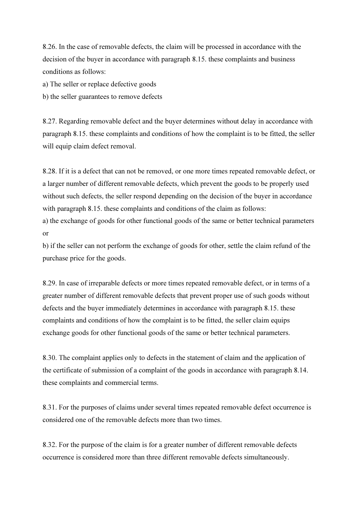8.26. In the case of removable defects, the claim will be processed in accordance with the decision of the buyer in accordance with paragraph 8.15. these complaints and business conditions as follows:

a) The seller or replace defective goods

b) the seller guarantees to remove defects

8.27. Regarding removable defect and the buyer determines without delay in accordance with paragraph 8.15. these complaints and conditions of how the complaint is to be fitted, the seller will equip claim defect removal.

8.28. If it is a defect that can not be removed, or one more times repeated removable defect, or a larger number of different removable defects, which prevent the goods to be properly used without such defects, the seller respond depending on the decision of the buyer in accordance with paragraph 8.15. these complaints and conditions of the claim as follows:

a) the exchange of goods for other functional goods of the same or better technical parameters or

b) if the seller can not perform the exchange of goods for other, settle the claim refund of the purchase price for the goods.

8.29. In case of irreparable defects or more times repeated removable defect, or in terms of a greater number of different removable defects that prevent proper use of such goods without defects and the buyer immediately determines in accordance with paragraph 8.15. these complaints and conditions of how the complaint is to be fitted, the seller claim equips exchange goods for other functional goods of the same or better technical parameters.

8.30. The complaint applies only to defects in the statement of claim and the application of the certificate of submission of a complaint of the goods in accordance with paragraph 8.14. these complaints and commercial terms.

8.31. For the purposes of claims under several times repeated removable defect occurrence is considered one of the removable defects more than two times.

8.32. For the purpose of the claim is for a greater number of different removable defects occurrence is considered more than three different removable defects simultaneously.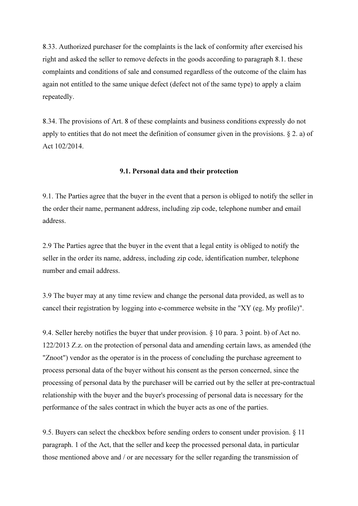8.33. Authorized purchaser for the complaints is the lack of conformity after exercised his right and asked the seller to remove defects in the goods according to paragraph 8.1. these complaints and conditions of sale and consumed regardless of the outcome of the claim has again not entitled to the same unique defect (defect not of the same type) to apply a claim repeatedly.

8.34. The provisions of Art. 8 of these complaints and business conditions expressly do not apply to entities that do not meet the definition of consumer given in the provisions.  $\S$  2. a) of Act 102/2014.

#### 9.1. Personal data and their protection

9.1. The Parties agree that the buyer in the event that a person is obliged to notify the seller in the order their name, permanent address, including zip code, telephone number and email address.

2.9 The Parties agree that the buyer in the event that a legal entity is obliged to notify the seller in the order its name, address, including zip code, identification number, telephone number and email address.

3.9 The buyer may at any time review and change the personal data provided, as well as to cancel their registration by logging into e-commerce website in the "XY (eg. My profile)".

9.4. Seller hereby notifies the buyer that under provision. § 10 para. 3 point. b) of Act no. 122/2013 Z.z. on the protection of personal data and amending certain laws, as amended (the "Znoot") vendor as the operator is in the process of concluding the purchase agreement to process personal data of the buyer without his consent as the person concerned, since the processing of personal data by the purchaser will be carried out by the seller at pre-contractual relationship with the buyer and the buyer's processing of personal data is necessary for the performance of the sales contract in which the buyer acts as one of the parties.

9.5. Buyers can select the checkbox before sending orders to consent under provision. § 11 paragraph. 1 of the Act, that the seller and keep the processed personal data, in particular those mentioned above and / or are necessary for the seller regarding the transmission of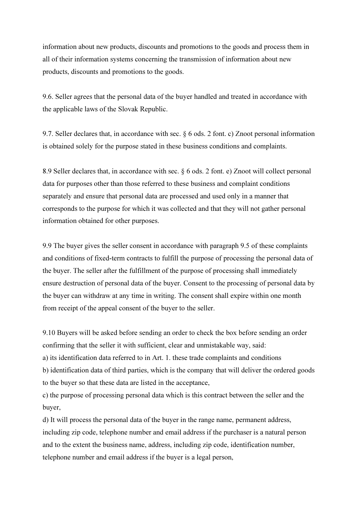information about new products, discounts and promotions to the goods and process them in all of their information systems concerning the transmission of information about new products, discounts and promotions to the goods.

9.6. Seller agrees that the personal data of the buyer handled and treated in accordance with the applicable laws of the Slovak Republic.

9.7. Seller declares that, in accordance with sec. § 6 ods. 2 font. c) Znoot personal information is obtained solely for the purpose stated in these business conditions and complaints.

8.9 Seller declares that, in accordance with sec. § 6 ods. 2 font. e) Znoot will collect personal data for purposes other than those referred to these business and complaint conditions separately and ensure that personal data are processed and used only in a manner that corresponds to the purpose for which it was collected and that they will not gather personal information obtained for other purposes.

9.9 The buyer gives the seller consent in accordance with paragraph 9.5 of these complaints and conditions of fixed-term contracts to fulfill the purpose of processing the personal data of the buyer. The seller after the fulfillment of the purpose of processing shall immediately ensure destruction of personal data of the buyer. Consent to the processing of personal data by the buyer can withdraw at any time in writing. The consent shall expire within one month from receipt of the appeal consent of the buyer to the seller.

9.10 Buyers will be asked before sending an order to check the box before sending an order confirming that the seller it with sufficient, clear and unmistakable way, said:

a) its identification data referred to in Art. 1. these trade complaints and conditions

b) identification data of third parties, which is the company that will deliver the ordered goods to the buyer so that these data are listed in the acceptance,

c) the purpose of processing personal data which is this contract between the seller and the buyer,

d) It will process the personal data of the buyer in the range name, permanent address, including zip code, telephone number and email address if the purchaser is a natural person and to the extent the business name, address, including zip code, identification number, telephone number and email address if the buyer is a legal person,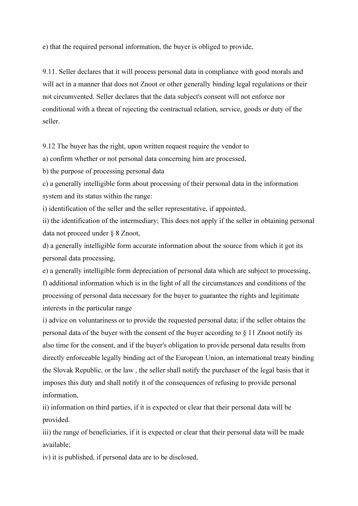e) that the required personal information, the buyer is obliged to provide,

9.11. Seller declares that it will process personal data in compliance with good morals and will act in a manner that does not Znoot or other generally binding legal regulations or their not circumvented. Seller declares that the data subject's consent will not enforce nor conditional with a threat of rejecting the contractual relation, service, goods or duty of the seller.

9.12 The buyer has the right, upon written request require the vendor to

a) confirm whether or not personal data concerning him are processed,

b) the purpose of processing personal data

c) a generally intelligible form about processing of their personal data in the information system and its status within the range:

i) identification of the seller and the seller representative, if appointed,

ii) the identification of the intermediary; This does not apply if the seller in obtaining personal data not proceed under § 8 Znoot,

d) a generally intelligible form accurate information about the source from which it got its personal data processing,

e) a generally intelligible form depreciation of personal data which are subject to processing, f) additional information which is in the light of all the circumstances and conditions of the processing of personal data necessary for the buyer to guarantee the rights and legitimate interests in the particular range

i) advice on voluntariness or to provide the requested personal data; if the seller obtains the personal data of the buyer with the consent of the buyer according to § 11 Znoot notify its also time for the consent, and if the buyer's obligation to provide personal data results from directly enforceable legally binding act of the European Union, an international treaty binding the Slovak Republic, or the law , the seller shall notify the purchaser of the legal basis that it imposes this duty and shall notify it of the consequences of refusing to provide personal information,

ii) information on third parties, if it is expected or clear that their personal data will be provided.

iii) the range of beneficiaries, if it is expected or clear that their personal data will be made available;

iv) it is published, if personal data are to be disclosed,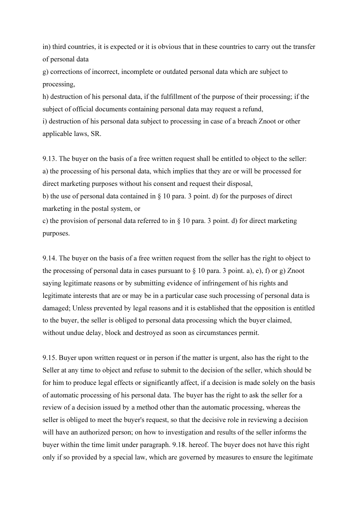in) third countries, it is expected or it is obvious that in these countries to carry out the transfer of personal data

g) corrections of incorrect, incomplete or outdated personal data which are subject to processing,

h) destruction of his personal data, if the fulfillment of the purpose of their processing; if the subject of official documents containing personal data may request a refund,

i) destruction of his personal data subject to processing in case of a breach Znoot or other applicable laws, SR.

9.13. The buyer on the basis of a free written request shall be entitled to object to the seller: a) the processing of his personal data, which implies that they are or will be processed for direct marketing purposes without his consent and request their disposal,

b) the use of personal data contained in § 10 para. 3 point. d) for the purposes of direct marketing in the postal system, or

c) the provision of personal data referred to in  $\S$  10 para. 3 point. d) for direct marketing purposes.

9.14. The buyer on the basis of a free written request from the seller has the right to object to the processing of personal data in cases pursuant to  $\S 10$  para. 3 point. a), e), f) or g) Znoot saying legitimate reasons or by submitting evidence of infringement of his rights and legitimate interests that are or may be in a particular case such processing of personal data is damaged; Unless prevented by legal reasons and it is established that the opposition is entitled to the buyer, the seller is obliged to personal data processing which the buyer claimed, without undue delay, block and destroyed as soon as circumstances permit.

9.15. Buyer upon written request or in person if the matter is urgent, also has the right to the Seller at any time to object and refuse to submit to the decision of the seller, which should be for him to produce legal effects or significantly affect, if a decision is made solely on the basis of automatic processing of his personal data. The buyer has the right to ask the seller for a review of a decision issued by a method other than the automatic processing, whereas the seller is obliged to meet the buyer's request, so that the decisive role in reviewing a decision will have an authorized person; on how to investigation and results of the seller informs the buyer within the time limit under paragraph. 9.18. hereof. The buyer does not have this right only if so provided by a special law, which are governed by measures to ensure the legitimate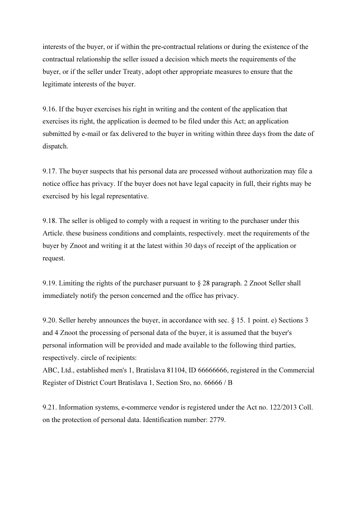interests of the buyer, or if within the pre-contractual relations or during the existence of the contractual relationship the seller issued a decision which meets the requirements of the buyer, or if the seller under Treaty, adopt other appropriate measures to ensure that the legitimate interests of the buyer.

9.16. If the buyer exercises his right in writing and the content of the application that exercises its right, the application is deemed to be filed under this Act; an application submitted by e-mail or fax delivered to the buyer in writing within three days from the date of dispatch.

9.17. The buyer suspects that his personal data are processed without authorization may file a notice office has privacy. If the buyer does not have legal capacity in full, their rights may be exercised by his legal representative.

9.18. The seller is obliged to comply with a request in writing to the purchaser under this Article. these business conditions and complaints, respectively. meet the requirements of the buyer by Znoot and writing it at the latest within 30 days of receipt of the application or request.

9.19. Limiting the rights of the purchaser pursuant to § 28 paragraph. 2 Znoot Seller shall immediately notify the person concerned and the office has privacy.

9.20. Seller hereby announces the buyer, in accordance with sec. § 15. 1 point. e) Sections 3 and 4 Znoot the processing of personal data of the buyer, it is assumed that the buyer's personal information will be provided and made available to the following third parties, respectively. circle of recipients:

ABC, Ltd., established men's 1, Bratislava 81104, ID 66666666, registered in the Commercial Register of District Court Bratislava 1, Section Sro, no. 66666 / B

9.21. Information systems, e-commerce vendor is registered under the Act no. 122/2013 Coll. on the protection of personal data. Identification number: 2779.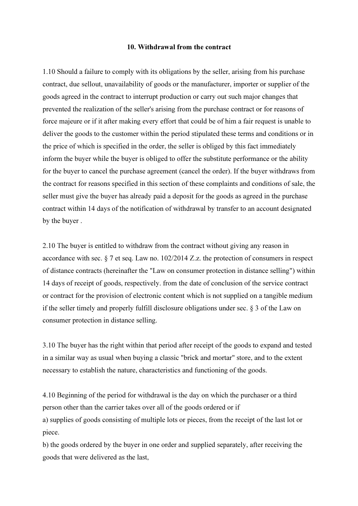#### 10. Withdrawal from the contract

1.10 Should a failure to comply with its obligations by the seller, arising from his purchase contract, due sellout, unavailability of goods or the manufacturer, importer or supplier of the goods agreed in the contract to interrupt production or carry out such major changes that prevented the realization of the seller's arising from the purchase contract or for reasons of force majeure or if it after making every effort that could be of him a fair request is unable to deliver the goods to the customer within the period stipulated these terms and conditions or in the price of which is specified in the order, the seller is obliged by this fact immediately inform the buyer while the buyer is obliged to offer the substitute performance or the ability for the buyer to cancel the purchase agreement (cancel the order). If the buyer withdraws from the contract for reasons specified in this section of these complaints and conditions of sale, the seller must give the buyer has already paid a deposit for the goods as agreed in the purchase contract within 14 days of the notification of withdrawal by transfer to an account designated by the buyer .

2.10 The buyer is entitled to withdraw from the contract without giving any reason in accordance with sec. § 7 et seq. Law no. 102/2014 Z.z. the protection of consumers in respect of distance contracts (hereinafter the "Law on consumer protection in distance selling") within 14 days of receipt of goods, respectively. from the date of conclusion of the service contract or contract for the provision of electronic content which is not supplied on a tangible medium if the seller timely and properly fulfill disclosure obligations under sec. § 3 of the Law on consumer protection in distance selling.

3.10 The buyer has the right within that period after receipt of the goods to expand and tested in a similar way as usual when buying a classic "brick and mortar" store, and to the extent necessary to establish the nature, characteristics and functioning of the goods.

4.10 Beginning of the period for withdrawal is the day on which the purchaser or a third person other than the carrier takes over all of the goods ordered or if a) supplies of goods consisting of multiple lots or pieces, from the receipt of the last lot or piece.

b) the goods ordered by the buyer in one order and supplied separately, after receiving the goods that were delivered as the last,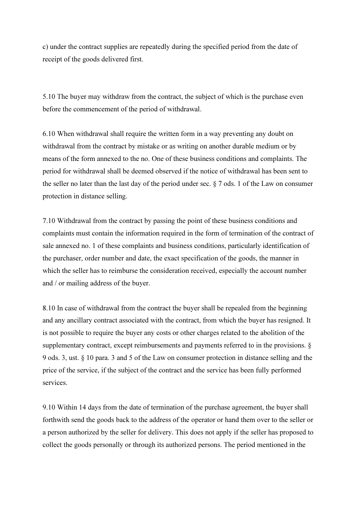c) under the contract supplies are repeatedly during the specified period from the date of receipt of the goods delivered first.

5.10 The buyer may withdraw from the contract, the subject of which is the purchase even before the commencement of the period of withdrawal.

6.10 When withdrawal shall require the written form in a way preventing any doubt on withdrawal from the contract by mistake or as writing on another durable medium or by means of the form annexed to the no. One of these business conditions and complaints. The period for withdrawal shall be deemed observed if the notice of withdrawal has been sent to the seller no later than the last day of the period under sec. § 7 ods. 1 of the Law on consumer protection in distance selling.

7.10 Withdrawal from the contract by passing the point of these business conditions and complaints must contain the information required in the form of termination of the contract of sale annexed no. 1 of these complaints and business conditions, particularly identification of the purchaser, order number and date, the exact specification of the goods, the manner in which the seller has to reimburse the consideration received, especially the account number and / or mailing address of the buyer.

8.10 In case of withdrawal from the contract the buyer shall be repealed from the beginning and any ancillary contract associated with the contract, from which the buyer has resigned. It is not possible to require the buyer any costs or other charges related to the abolition of the supplementary contract, except reimbursements and payments referred to in the provisions.  $\S$ 9 ods. 3, ust. § 10 para. 3 and 5 of the Law on consumer protection in distance selling and the price of the service, if the subject of the contract and the service has been fully performed services.

9.10 Within 14 days from the date of termination of the purchase agreement, the buyer shall forthwith send the goods back to the address of the operator or hand them over to the seller or a person authorized by the seller for delivery. This does not apply if the seller has proposed to collect the goods personally or through its authorized persons. The period mentioned in the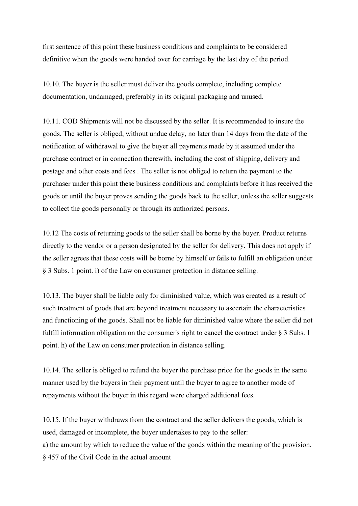first sentence of this point these business conditions and complaints to be considered definitive when the goods were handed over for carriage by the last day of the period.

10.10. The buyer is the seller must deliver the goods complete, including complete documentation, undamaged, preferably in its original packaging and unused.

10.11. COD Shipments will not be discussed by the seller. It is recommended to insure the goods. The seller is obliged, without undue delay, no later than 14 days from the date of the notification of withdrawal to give the buyer all payments made by it assumed under the purchase contract or in connection therewith, including the cost of shipping, delivery and postage and other costs and fees . The seller is not obliged to return the payment to the purchaser under this point these business conditions and complaints before it has received the goods or until the buyer proves sending the goods back to the seller, unless the seller suggests to collect the goods personally or through its authorized persons.

10.12 The costs of returning goods to the seller shall be borne by the buyer. Product returns directly to the vendor or a person designated by the seller for delivery. This does not apply if the seller agrees that these costs will be borne by himself or fails to fulfill an obligation under § 3 Subs. 1 point. i) of the Law on consumer protection in distance selling.

10.13. The buyer shall be liable only for diminished value, which was created as a result of such treatment of goods that are beyond treatment necessary to ascertain the characteristics and functioning of the goods. Shall not be liable for diminished value where the seller did not fulfill information obligation on the consumer's right to cancel the contract under § 3 Subs. 1 point. h) of the Law on consumer protection in distance selling.

10.14. The seller is obliged to refund the buyer the purchase price for the goods in the same manner used by the buyers in their payment until the buyer to agree to another mode of repayments without the buyer in this regard were charged additional fees.

10.15. If the buyer withdraws from the contract and the seller delivers the goods, which is used, damaged or incomplete, the buyer undertakes to pay to the seller: a) the amount by which to reduce the value of the goods within the meaning of the provision. § 457 of the Civil Code in the actual amount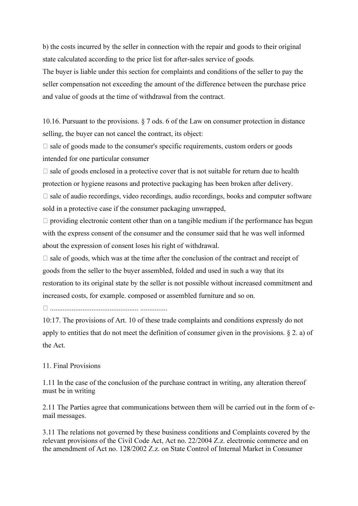b) the costs incurred by the seller in connection with the repair and goods to their original state calculated according to the price list for after-sales service of goods.

The buyer is liable under this section for complaints and conditions of the seller to pay the seller compensation not exceeding the amount of the difference between the purchase price and value of goods at the time of withdrawal from the contract.

10.16. Pursuant to the provisions. § 7 ods. 6 of the Law on consumer protection in distance selling, the buyer can not cancel the contract, its object:

 $\Box$  sale of goods made to the consumer's specific requirements, custom orders or goods intended for one particular consumer

 $\Box$  sale of goods enclosed in a protective cover that is not suitable for return due to health protection or hygiene reasons and protective packaging has been broken after delivery.

 $\Box$  sale of audio recordings, video recordings, audio recordings, books and computer software sold in a protective case if the consumer packaging unwrapped,

 $\Box$  providing electronic content other than on a tangible medium if the performance has begun with the express consent of the consumer and the consumer said that he was well informed about the expression of consent loses his right of withdrawal.

 $\Box$  sale of goods, which was at the time after the conclusion of the contract and receipt of goods from the seller to the buyer assembled, folded and used in such a way that its restoration to its original state by the seller is not possible without increased commitment and increased costs, for example. composed or assembled furniture and so on.

N ................................................. ...............

10:17. The provisions of Art. 10 of these trade complaints and conditions expressly do not apply to entities that do not meet the definition of consumer given in the provisions.  $\S$  2. a) of the Act.

#### 11. Final Provisions

1.11 In the case of the conclusion of the purchase contract in writing, any alteration thereof must be in writing

2.11 The Parties agree that communications between them will be carried out in the form of email messages.

3.11 The relations not governed by these business conditions and Complaints covered by the relevant provisions of the Civil Code Act, Act no. 22/2004 Z.z. electronic commerce and on the amendment of Act no. 128/2002 Z.z. on State Control of Internal Market in Consumer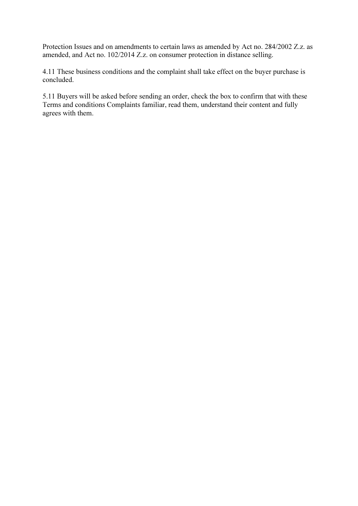Protection Issues and on amendments to certain laws as amended by Act no. 284/2002 Z.z. as amended, and Act no. 102/2014 Z.z. on consumer protection in distance selling.

4.11 These business conditions and the complaint shall take effect on the buyer purchase is concluded.

5.11 Buyers will be asked before sending an order, check the box to confirm that with these Terms and conditions Complaints familiar, read them, understand their content and fully agrees with them.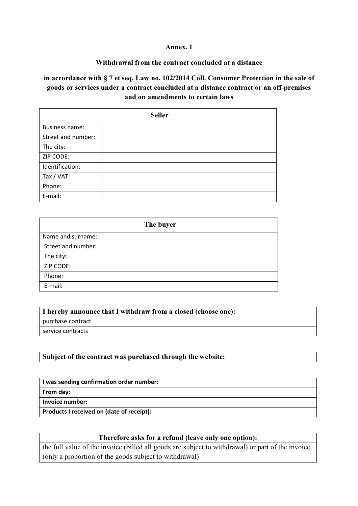## Annex. 1

## Withdrawal from the contract concluded at a distance

## in accordance with § 7 et seq. Law no. 102/2014 Coll. Consumer Protection in the sale of goods or services under a contract concluded at a distance contract or an off-premises and on amendments to certain laws

| <b>Seller</b>         |  |  |
|-----------------------|--|--|
| <b>Business name:</b> |  |  |
| Street and number:    |  |  |
| The city:             |  |  |
| ZIP CODE:             |  |  |
| Identification:       |  |  |
| Tax / VAT:            |  |  |
| Phone:                |  |  |
| E-mail:               |  |  |

| The buyer          |  |  |
|--------------------|--|--|
| Name and surname:  |  |  |
| Street and number: |  |  |
| The city:          |  |  |
| ZIP CODE:          |  |  |
| Phone:             |  |  |
| E-mail:            |  |  |

| I hereby announce that I withdraw from a closed (choose one): |  |  |  |
|---------------------------------------------------------------|--|--|--|
| purchase contract                                             |  |  |  |
| service contracts                                             |  |  |  |
|                                                               |  |  |  |

# Subject of the contract was purchased through the website:

| I was sending confirmation order number:  |  |
|-------------------------------------------|--|
| From day:                                 |  |
| Invoice number:                           |  |
| Products I received on (date of receipt): |  |

| Therefore asks for a refund (leave only one option):                                              |  |  |
|---------------------------------------------------------------------------------------------------|--|--|
| the full value of the invoice (billed all goods are subject to withdrawal) or part of the invoice |  |  |
| (only a proportion of the goods subject to withdrawal)                                            |  |  |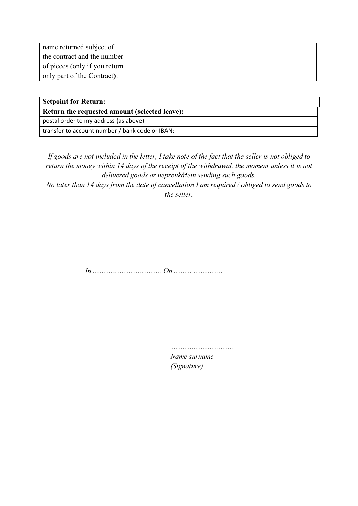| name returned subject of      |
|-------------------------------|
| the contract and the number   |
| of pieces (only if you return |
| only part of the Contract):   |

| <b>Setpoint for Return:</b>                     |  |
|-------------------------------------------------|--|
| Return the requested amount (selected leave):   |  |
| postal order to my address (as above)           |  |
| transfer to account number / bank code or IBAN: |  |

If goods are not included in the letter, I take note of the fact that the seller is not obliged to return the money within 14 days of the receipt of the withdrawal, the moment unless it is not delivered goods or nepreukážem sending such goods.

No later than 14 days from the date of cancellation I am required / obliged to send goods to the seller.

In ...................................... On .......... ................

....................................

Name surname (Signature)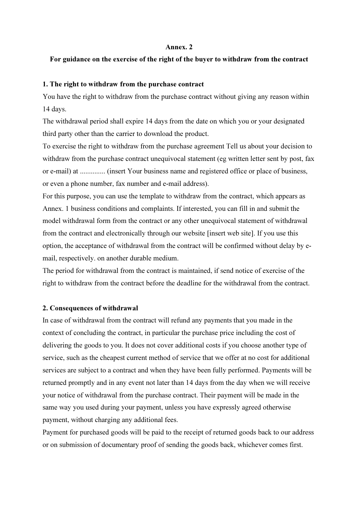#### Annex. 2

#### For guidance on the exercise of the right of the buyer to withdraw from the contract

#### 1. The right to withdraw from the purchase contract

You have the right to withdraw from the purchase contract without giving any reason within 14 days.

The withdrawal period shall expire 14 days from the date on which you or your designated third party other than the carrier to download the product.

To exercise the right to withdraw from the purchase agreement Tell us about your decision to withdraw from the purchase contract unequivocal statement (eg written letter sent by post, fax or e-mail) at .............. (insert Your business name and registered office or place of business, or even a phone number, fax number and e-mail address).

For this purpose, you can use the template to withdraw from the contract, which appears as Annex. 1 business conditions and complaints. If interested, you can fill in and submit the model withdrawal form from the contract or any other unequivocal statement of withdrawal from the contract and electronically through our website [insert web site]. If you use this option, the acceptance of withdrawal from the contract will be confirmed without delay by email, respectively. on another durable medium.

The period for withdrawal from the contract is maintained, if send notice of exercise of the right to withdraw from the contract before the deadline for the withdrawal from the contract.

#### 2. Consequences of withdrawal

In case of withdrawal from the contract will refund any payments that you made in the context of concluding the contract, in particular the purchase price including the cost of delivering the goods to you. It does not cover additional costs if you choose another type of service, such as the cheapest current method of service that we offer at no cost for additional services are subject to a contract and when they have been fully performed. Payments will be returned promptly and in any event not later than 14 days from the day when we will receive your notice of withdrawal from the purchase contract. Their payment will be made in the same way you used during your payment, unless you have expressly agreed otherwise payment, without charging any additional fees.

Payment for purchased goods will be paid to the receipt of returned goods back to our address or on submission of documentary proof of sending the goods back, whichever comes first.